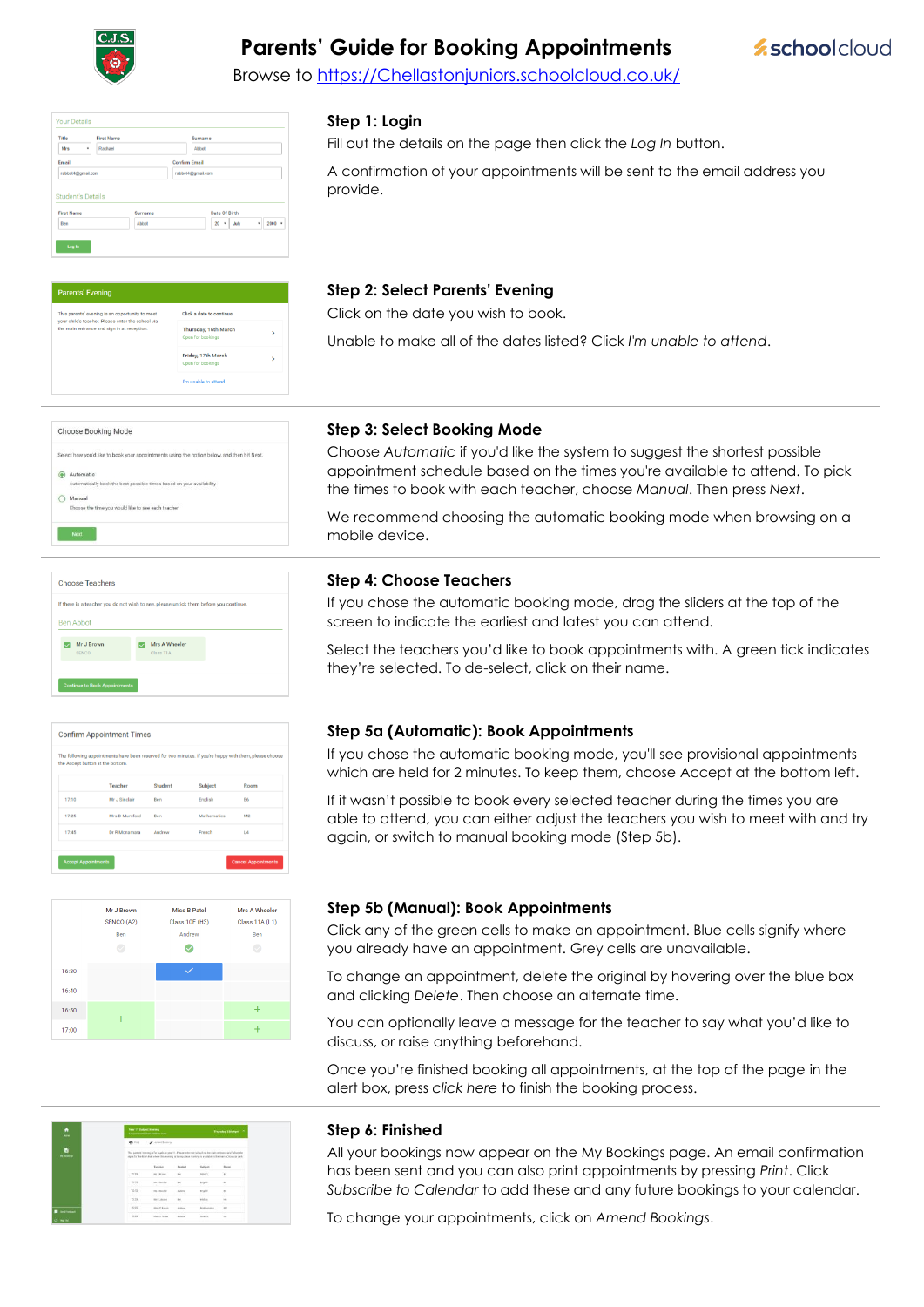

next teachers and sign in at r

# **Parents' Guide for Booking Appointments**

**Eschoolcloud** 

Browse to https://Chellastonjuniors.schoolcloud.co.uk/

### **Step 1: Login**

Fill out the details on the page then click the *Log In* button.

A confirmation of your appointments will be sent to the email address you provide.

| <b>First Name</b> | Surname | Date Of Birth                     |
|-------------------|---------|-----------------------------------|
| Ben               | Abbot   | $20 +$<br>$2000$ $*$<br>July<br>٠ |

Click a data to a

Thursday, 16th March Friday, 17th March

## **Step 2: Select Parents' Evening**

Click on the date you wish to book.

Unable to make all of the dates listed? Click *I'm unable to attend*.

| Select how you'd like to book your appointments using the option below, and then hit Next. |
|--------------------------------------------------------------------------------------------|
| Automatic                                                                                  |
| Automatically book the best possible times based on your availability                      |
| Manual                                                                                     |
| Choose the time you would like to see each teacher                                         |

### **Step 3: Select Booking Mode**

**Step 4: Choose Teachers**

Choose *Automatic* if you'd like the system to suggest the shortest possible appointment schedule based on the times you're available to attend. To pick the times to book with each teacher, choose *Manual*. Then press *Next*.

We recommend choosing the automatic booking mode when browsing on a mobile device.

If you chose the automatic booking mode, drag the sliders at the top of the

Select the teachers you'd like to book appointments with. A green tick indicates

|                  | If there is a teacher you do not wish to see, please untick them before you continue. |  |
|------------------|---------------------------------------------------------------------------------------|--|
| <b>Ben Abbot</b> |                                                                                       |  |
| Mr J Brown       | Mrs A Wheeler                                                                         |  |
| <b>SENCO</b>     | Class 11A                                                                             |  |

# **Confirm Appointment Times**  $17:1$ Mr J 5



## **Step 5a (Automatic): Book Appointments**

screen to indicate the earliest and latest you can attend.

they're selected. To de-select, click on their name.

If you chose the automatic booking mode, you'll see provisional appointments which are held for 2 minutes. To keep them, choose Accept at the bottom left.

If it wasn't possible to book every selected teacher during the times you are able to attend, you can either adjust the teachers you wish to meet with and try again, or switch to manual booking mode (Step 5b).

## **Step 5b (Manual): Book Appointments**

Click any of the green cells to make an appointment. Blue cells signify where you already have an appointment. Grey cells are unavailable.

To change an appointment, delete the original by hovering over the blue box and clicking *Delete*. Then choose an alternate time.

You can optionally leave a message for the teacher to say what you'd like to discuss, or raise anything beforehand.

Once you're finished booking all appointments, at the top of the page in the alert box, press *click here* to finish the booking process.

| ٠<br><b>West</b>        | <b>New 11 Didney Storage</b> | 4 accommodate hors rights as being                                                                                                                                                                                       |                 |                | Thorsday, 1204 April 2 |
|-------------------------|------------------------------|--------------------------------------------------------------------------------------------------------------------------------------------------------------------------------------------------------------------------|-----------------|----------------|------------------------|
|                         | $\bullet$                    | / Antibility)                                                                                                                                                                                                            |                 |                |                        |
| b.<br><b>Hi-Rooking</b> |                              | This appeals were main for aught to you. 11. Please well of the tubus) staffer many actions and follow the<br>aspectic the Mari-Hell where this evening is being about Finling is a quickle in the men acticed pai awh." |                 |                |                        |
|                         |                              | Teacher                                                                                                                                                                                                                  | <b>Bluebard</b> | <b>Extract</b> | <b>ANTICO</b><br>Basel |
|                         | 1103                         | At Jimmy                                                                                                                                                                                                                 | ter.            | Matio.         | $\overline{M}$         |
|                         | 15.73                        | <b>NA J MISSIN</b><br><b>COLO</b>                                                                                                                                                                                        | <b>Ball</b>     | knaker.        | $\sim$                 |
|                         | 1515                         | <b>M. Zanzani</b>                                                                                                                                                                                                        | <b>SUSH</b>     | <b>Bright</b>  | $\sim$                 |
|                         | 15.32                        | <b>Skyl Jacobe</b>                                                                                                                                                                                                       | to:             | <b>Eddies</b>  |                        |
| <b>Seriester</b>        | 1535                         | Mai F Roton                                                                                                                                                                                                              | assiste.        | Malvesano      | 322                    |
| $O = 14$                | 15.33                        | Islam J. Forder                                                                                                                                                                                                          | krateg          | <b>Report</b>  | $\sim$                 |

#### **Step 6: Finished**

All your bookings now appear on the My Bookings page. An email confirmation has been sent and you can also print appointments by pressing *Print*. Click *Subscribe to Calendar* to add these and any future bookings to your calendar.

To change your appointments, click on *Amend Bookings*.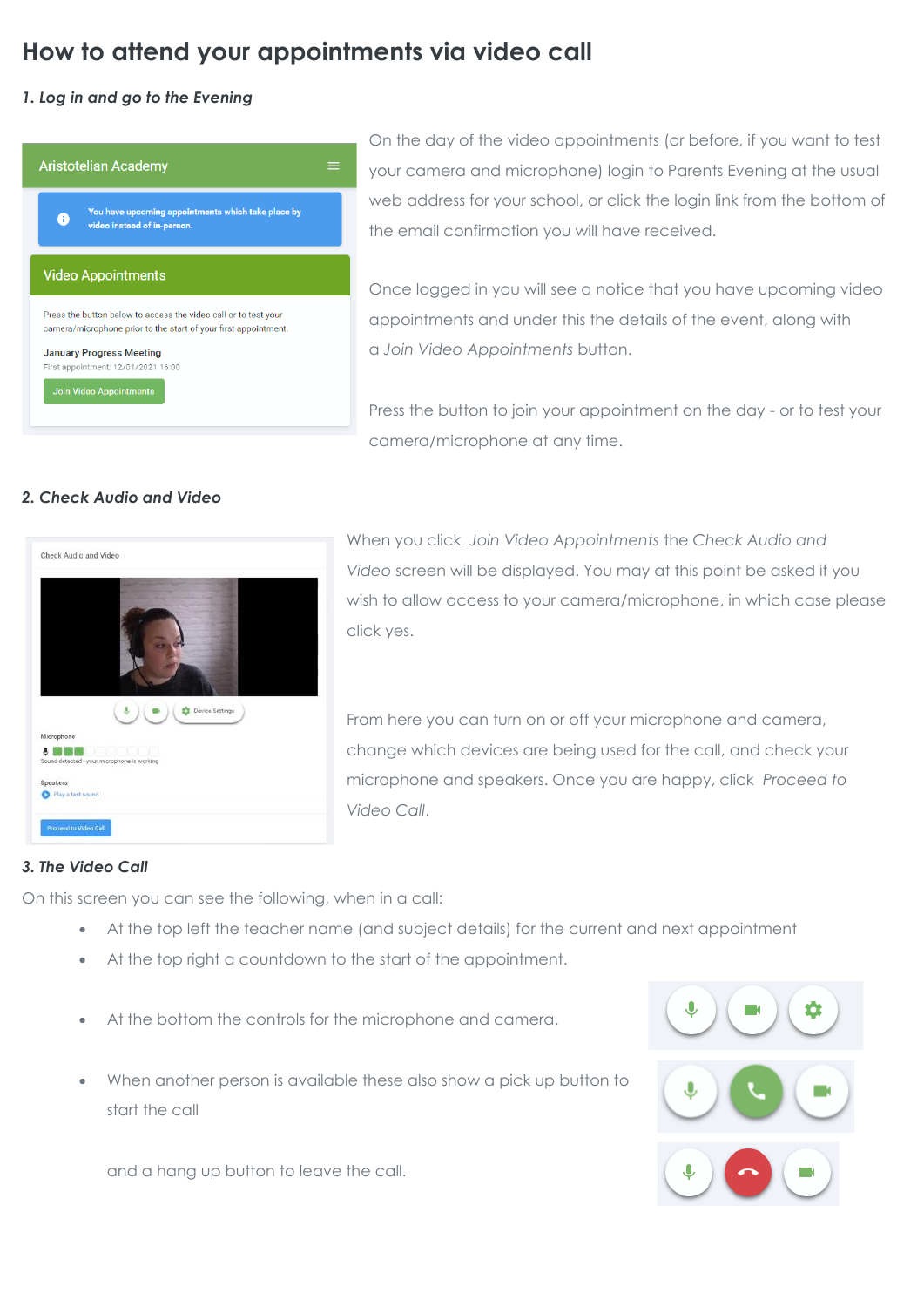# **How to attend your appointments via video call**

# *1. Log in and go to the Evening*

|                                                                                                                                    | <b>Aristotelian Academy</b>                                                       |  |  |  |
|------------------------------------------------------------------------------------------------------------------------------------|-----------------------------------------------------------------------------------|--|--|--|
| A                                                                                                                                  | You have upcoming appointments which take place by<br>video instead of in-person. |  |  |  |
|                                                                                                                                    | <b>Video Appointments</b>                                                         |  |  |  |
| Press the button below to access the video call or to test your<br>camera/microphone prior to the start of your first appointment. |                                                                                   |  |  |  |
|                                                                                                                                    | <b>January Progress Meeting</b><br>First appointment: 12/01/2021 16:00            |  |  |  |
|                                                                                                                                    |                                                                                   |  |  |  |

On the day of the video appointments (or before, if you want to test your camera and microphone) login to Parents Evening at the usual web address for your school, or click the login link from the bottom of the email confirmation you will have received.

Once logged in you will see a notice that you have upcoming video appointments and under this the details of the event, along with a *Join Video Appointments* button.

Press the button to join your appointment on the day - or to test your camera/microphone at any time.

# *2. Check Audio and Video*



When you click *Join Video Appointments* the *Check Audio and Video* screen will be displayed. You may at this point be asked if you wish to allow access to your camera/microphone, in which case please click yes.

From here you can turn on or off your microphone and camera, change which devices are being used for the call, and check your microphone and speakers. Once you are happy, click *Proceed to Video Call*.

# *3. The Video Call*

On this screen you can see the following, when in a call:

- At the top left the teacher name (and subject details) for the current and next appointment
- At the top right a countdown to the start of the appointment.
- At the bottom the controls for the microphone and camera.
- When another person is available these also show a pick up button to start the call

and a hang up button to leave the call.

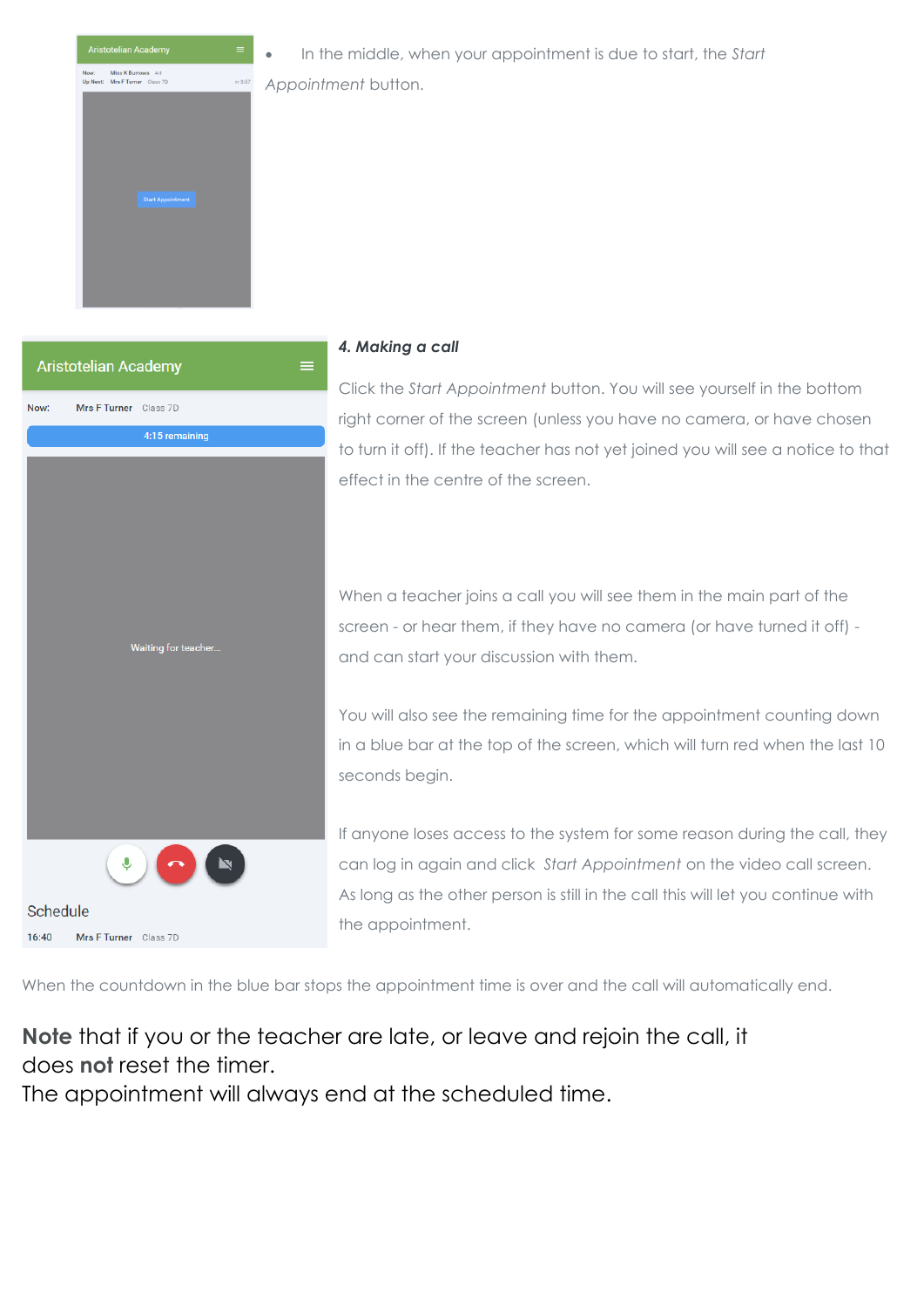

• In the middle, when your appointment is due to start, the *Start* 

*Appointment* button.



# *4. Making a call*

Click the *Start Appointment* button. You will see yourself in the bottom right corner of the screen (unless you have no camera, or have chosen to turn it off). If the teacher has not yet joined you will see a notice to that effect in the centre of the screen.

When a teacher joins a call you will see them in the main part of the screen - or hear them, if they have no camera (or have turned it off) and can start your discussion with them.

You will also see the remaining time for the appointment counting down in a blue bar at the top of the screen, which will turn red when the last 10 seconds begin.

If anyone loses access to the system for some reason during the call, they can log in again and click *Start Appointment* on the video call screen. As long as the other person is still in the call this will let you continue with the appointment.

When the countdown in the blue bar stops the appointment time is over and the call will automatically end.

**Note** that if you or the teacher are late, or leave and rejoin the call, it does **not** reset the timer.

The appointment will always end at the scheduled time.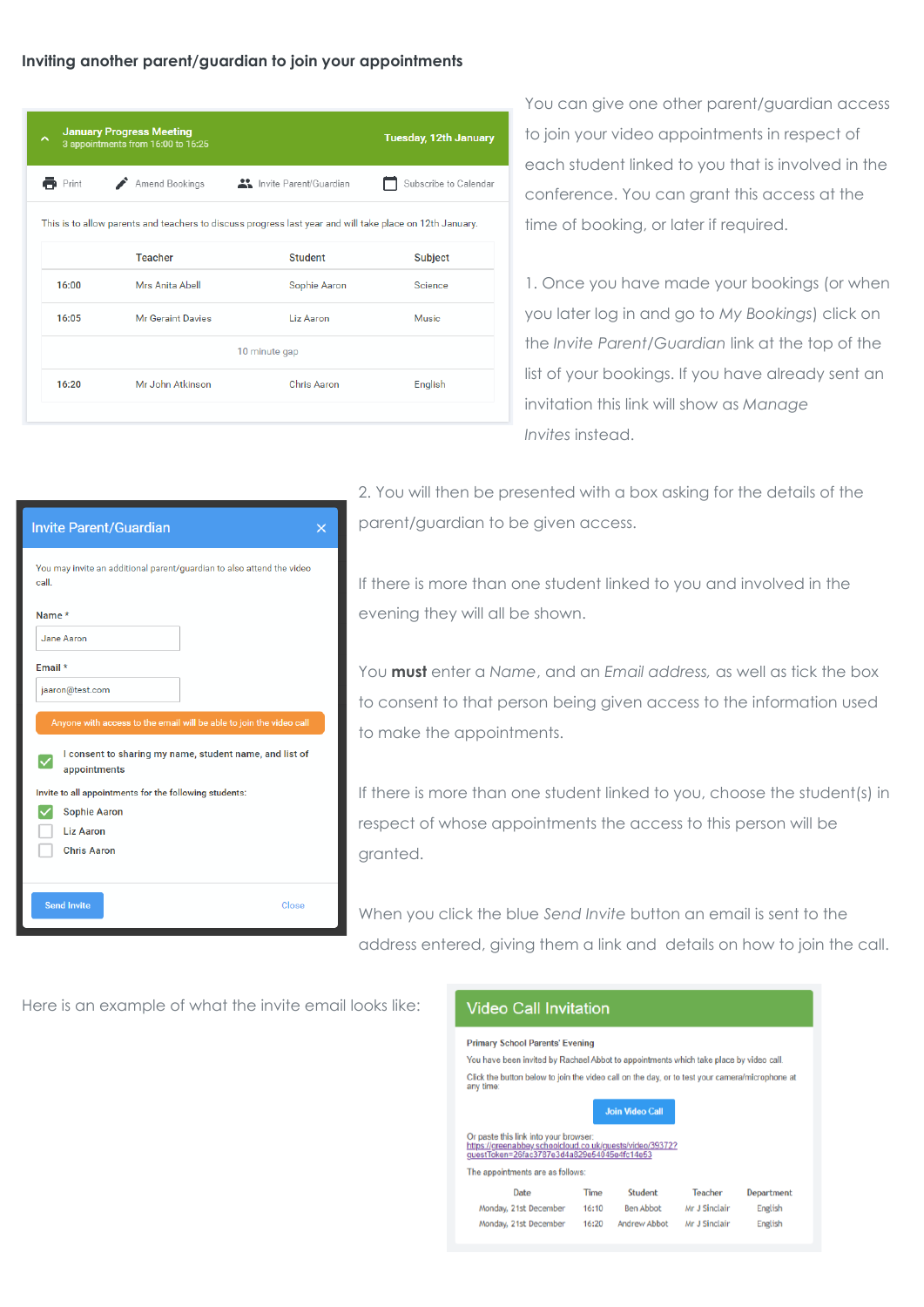## **Inviting another parent/guardian to join your appointments**

| ㅅ                    | <b>January Progress Meeting</b><br>3 appointments from 16:00 to 16:25                                    |                | <b>Tuesday, 12th January</b> |  |  |  |  |
|----------------------|----------------------------------------------------------------------------------------------------------|----------------|------------------------------|--|--|--|--|
| $\blacksquare$ Print | Amend Bookings American State Parent/Guardian                                                            |                | Subscribe to Calendar        |  |  |  |  |
|                      | This is to allow parents and teachers to discuss progress last year and will take place on 12th January. |                |                              |  |  |  |  |
|                      | <b>Teacher</b>                                                                                           | <b>Student</b> | <b>Subject</b>               |  |  |  |  |
| 16:00                | Mrs Anita Abell                                                                                          | Sophie Aaron   | Science                      |  |  |  |  |
| 16:05                | Mr Geraint Davies                                                                                        | Liz Aaron      | Music                        |  |  |  |  |
|                      | 10 minute gap                                                                                            |                |                              |  |  |  |  |
| 16:20                | Mr John Atkinson                                                                                         | Chris Aaron    | English                      |  |  |  |  |
|                      |                                                                                                          |                |                              |  |  |  |  |

 $\overline{\mathsf{x}}$ 

You can give one other parent/guardian access to join your video appointments in respect of each student linked to you that is involved in the conference. You can grant this access at the time of booking, or later if required.

1. Once you have made your bookings (or when you later log in and go to *My Bookings*) click on the *Invite Parent/Guardian* link at the top of the list of your bookings. If you have already sent an invitation this link will show as *Manage Invites* instead.

2. You will then be presented with a box asking for the details of the parent/guardian to be given access.

If there is more than one student linked to you and involved in the evening they will all be shown.

You **must** enter a *Name*, and an *Email address,* as well as tick the box to consent to that person being given access to the information used to make the appointments.

If there is more than one student linked to you, choose the student(s) in respect of whose appointments the access to this person will be granted.

When you click the blue *Send Invite* button an email is sent to the address entered, giving them a link and details on how to join the call.

Here is an example of what the invite email looks like:

Close

**Invite Parent/Guardian** 

call.

Name\* Jane Aaron Email \*

∨

jaaron@test.com

appointments

Sophie Aaron Liz Aaron **Chris Aaron** 

Send Invite

You may invite an additional parent/guardian to also attend the video

I consent to sharing my name, student name, and list of

Invite to all appointments for the following students:

# **Video Call Invitation**

#### **Primary School Parents' Evening**

You have been invited by Rachael Abbot to appointments which take place by video call. Click the button below to join the video call on the day, or to test your camera/microphone at any time

|                                                                                                                                                  |      | <b>Join Video Call</b> |         |      |
|--------------------------------------------------------------------------------------------------------------------------------------------------|------|------------------------|---------|------|
| Or paste this link into your browser:<br>https://greenabbey.schoolcloud.co.uk/guests/video/39372?<br>guestToken=26fac3787e3d4a829e54045e4fc14e53 |      |                        |         |      |
| The appointments are as follows:                                                                                                                 |      |                        |         |      |
| Date                                                                                                                                             | Time | <b>Student</b>         | Teacher | Depa |

| Date                  | Time  | <b>Student</b>   | Teacher       | Department |
|-----------------------|-------|------------------|---------------|------------|
| Monday, 21st December | 16:10 | <b>Ben Abbot</b> | Mr J Sinclair | English    |
| Monday, 21st December | 16:20 | Andrew Abbot     | Mr J Sinclair | English    |